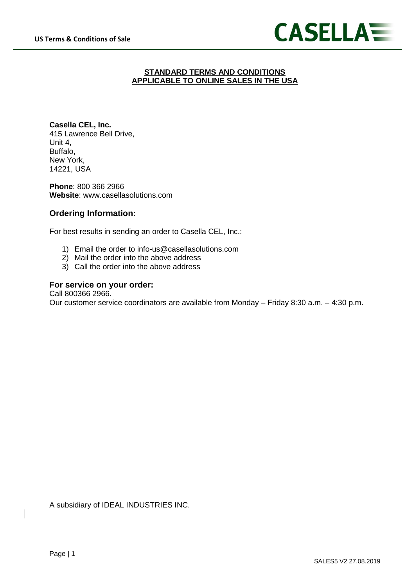

## **STANDARD TERMS AND CONDITIONS APPLICABLE TO ONLINE SALES IN THE USA**

**Casella CEL, Inc.** 415 Lawrence Bell Drive, Unit 4, Buffalo, New York, 14221, USA

**Phone**: 800 366 2966 **Website**: www.casellasolutions.com

# **Ordering Information:**

For best results in sending an order to Casella CEL, Inc.:

- 1) Email the order to info-us@casellasolutions.com
- 2) Mail the order into the above address
- 3) Call the order into the above address

## **For service on your order:**

Call 800366 2966.

Our customer service coordinators are available from Monday – Friday 8:30 a.m. – 4:30 p.m.

A subsidiary of IDEAL INDUSTRIES INC.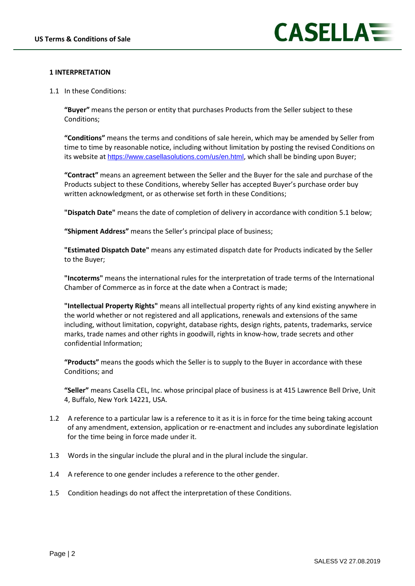

## **1 INTERPRETATION**

1.1 In these Conditions:

**"Buyer"** means the person or entity that purchases Products from the Seller subject to these Conditions;

**"Conditions"** means the terms and conditions of sale herein, which may be amended by Seller from time to time by reasonable notice, including without limitation by posting the revised Conditions on its website at <https://www.casellasolutions.com/us/en.html>, which shall be binding upon Buyer;

**"Contract"** means an agreement between the Seller and the Buyer for the sale and purchase of the Products subject to these Conditions, whereby Seller has accepted Buyer's purchase order buy written acknowledgment, or as otherwise set forth in these Conditions;

**"Dispatch Date"** means the date of completion of delivery in accordance with condition 5.1 below;

**"Shipment Address"** means the Seller's principal place of business;

**"Estimated Dispatch Date"** means any estimated dispatch date for Products indicated by the Seller to the Buyer;

**"Incoterms"** means the international rules for the interpretation of trade terms of the International Chamber of Commerce as in force at the date when a Contract is made;

**"Intellectual Property Rights"** means all intellectual property rights of any kind existing anywhere in the world whether or not registered and all applications, renewals and extensions of the same including, without limitation, copyright, database rights, design rights, patents, trademarks, service marks, trade names and other rights in goodwill, rights in know-how, trade secrets and other confidential Information;

**"Products"** means the goods which the Seller is to supply to the Buyer in accordance with these Conditions; and

**"Seller"** means Casella CEL, Inc. whose principal place of business is at 415 Lawrence Bell Drive, Unit 4, Buffalo, New York 14221, USA.

- 1.2 A reference to a particular law is a reference to it as it is in force for the time being taking account of any amendment, extension, application or re-enactment and includes any subordinate legislation for the time being in force made under it.
- 1.3 Words in the singular include the plural and in the plural include the singular.
- 1.4 A reference to one gender includes a reference to the other gender.
- 1.5 Condition headings do not affect the interpretation of these Conditions.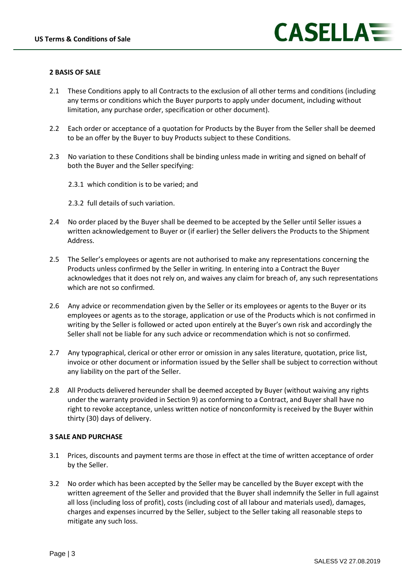

#### **2 BASIS OF SALE**

- 2.1 These Conditions apply to all Contracts to the exclusion of all other terms and conditions (including any terms or conditions which the Buyer purports to apply under document, including without limitation, any purchase order, specification or other document).
- 2.2 Each order or acceptance of a quotation for Products by the Buyer from the Seller shall be deemed to be an offer by the Buyer to buy Products subject to these Conditions.
- 2.3 No variation to these Conditions shall be binding unless made in writing and signed on behalf of both the Buyer and the Seller specifying:
	- 2.3.1 which condition is to be varied; and
	- 2.3.2 full details of such variation.
- 2.4 No order placed by the Buyer shall be deemed to be accepted by the Seller until Seller issues a written acknowledgement to Buyer or (if earlier) the Seller delivers the Products to the Shipment Address.
- 2.5 The Seller's employees or agents are not authorised to make any representations concerning the Products unless confirmed by the Seller in writing. In entering into a Contract the Buyer acknowledges that it does not rely on, and waives any claim for breach of, any such representations which are not so confirmed.
- 2.6 Any advice or recommendation given by the Seller or its employees or agents to the Buyer or its employees or agents as to the storage, application or use of the Products which is not confirmed in writing by the Seller is followed or acted upon entirely at the Buyer's own risk and accordingly the Seller shall not be liable for any such advice or recommendation which is not so confirmed.
- 2.7 Any typographical, clerical or other error or omission in any sales literature, quotation, price list, invoice or other document or information issued by the Seller shall be subject to correction without any liability on the part of the Seller.
- 2.8 All Products delivered hereunder shall be deemed accepted by Buyer (without waiving any rights under the warranty provided in Section 9) as conforming to a Contract, and Buyer shall have no right to revoke acceptance, unless written notice of nonconformity is received by the Buyer within thirty (30) days of delivery.

#### **3 SALE AND PURCHASE**

- 3.1 Prices, discounts and payment terms are those in effect at the time of written acceptance of order by the Seller.
- 3.2 No order which has been accepted by the Seller may be cancelled by the Buyer except with the written agreement of the Seller and provided that the Buyer shall indemnify the Seller in full against all loss (including loss of profit), costs (including cost of all labour and materials used), damages, charges and expenses incurred by the Seller, subject to the Seller taking all reasonable steps to mitigate any such loss.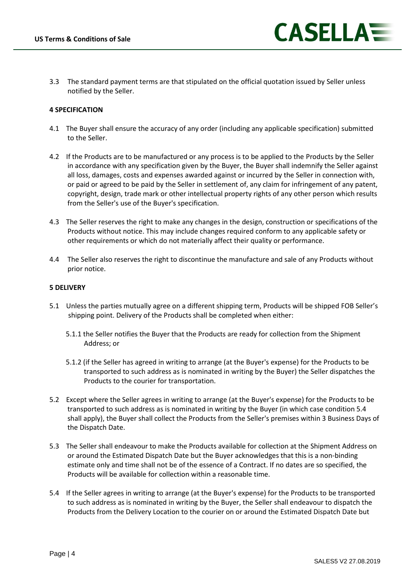3.3 The standard payment terms are that stipulated on the official quotation issued by Seller unless notified by the Seller.

#### **4 SPECIFICATION**

- 4.1 The Buyer shall ensure the accuracy of any order (including any applicable specification) submitted to the Seller.
- 4.2 If the Products are to be manufactured or any process is to be applied to the Products by the Seller in accordance with any specification given by the Buyer, the Buyer shall indemnify the Seller against all loss, damages, costs and expenses awarded against or incurred by the Seller in connection with, or paid or agreed to be paid by the Seller in settlement of, any claim for infringement of any patent, copyright, design, trade mark or other intellectual property rights of any other person which results from the Seller's use of the Buyer's specification.
- 4.3 The Seller reserves the right to make any changes in the design, construction or specifications of the Products without notice. This may include changes required conform to any applicable safety or other requirements or which do not materially affect their quality or performance.
- 4.4 The Seller also reserves the right to discontinue the manufacture and sale of any Products without prior notice.

#### **5 DELIVERY**

- 5.1 Unless the parties mutually agree on a different shipping term, Products will be shipped FOB Seller's shipping point. Delivery of the Products shall be completed when either:
	- 5.1.1 the Seller notifies the Buyer that the Products are ready for collection from the Shipment Address; or
	- 5.1.2 (if the Seller has agreed in writing to arrange (at the Buyer's expense) for the Products to be transported to such address as is nominated in writing by the Buyer) the Seller dispatches the Products to the courier for transportation.
- 5.2 Except where the Seller agrees in writing to arrange (at the Buyer's expense) for the Products to be transported to such address as is nominated in writing by the Buyer (in which case condition 5.4 shall apply), the Buyer shall collect the Products from the Seller's premises within 3 Business Days of the Dispatch Date.
- 5.3 The Seller shall endeavour to make the Products available for collection at the Shipment Address on or around the Estimated Dispatch Date but the Buyer acknowledges that this is a non-binding estimate only and time shall not be of the essence of a Contract. If no dates are so specified, the Products will be available for collection within a reasonable time.
- 5.4 If the Seller agrees in writing to arrange (at the Buyer's expense) for the Products to be transported to such address as is nominated in writing by the Buyer, the Seller shall endeavour to dispatch the Products from the Delivery Location to the courier on or around the Estimated Dispatch Date but

CASELLA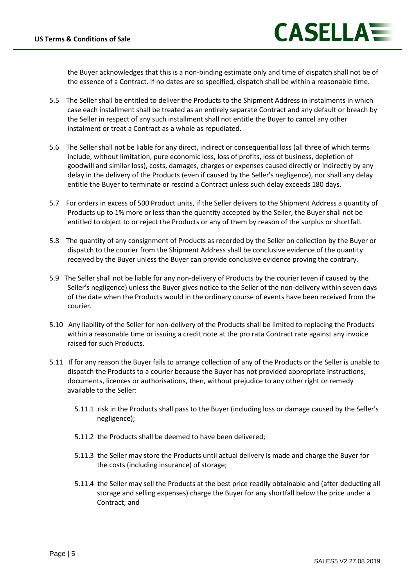

the Buyer acknowledges that this is a non-binding estimate only and time of dispatch shall not be of the essence of a Contract. If no dates are so specified, dispatch shall be within a reasonable time.

- 5.5 The Seller shall be entitled to deliver the Products to the Shipment Address in instalments in which case each installment shall be treated as an entirely separate Contract and any default or breach by the Seller in respect of any such installment shall not entitle the Buyer to cancel any other instalment or treat a Contract as a whole as repudiated.
- 5.6 The Seller shall not be liable for any direct, indirect or consequential loss (all three of which terms include, without limitation, pure economic loss, loss of profits, loss of business, depletion of goodwill and similar loss), costs, damages, charges or expenses caused directly or indirectly by any delay in the delivery of the Products (even if caused by the Seller's negligence), nor shall any delay entitle the Buyer to terminate or rescind a Contract unless such delay exceeds 180 days.
- 5.7 For orders in excess of 500 Product units, if the Seller delivers to the Shipment Address a quantity of Products up to 1% more or less than the quantity accepted by the Seller, the Buyer shall not be entitled to object to or reject the Products or any of them by reason of the surplus or shortfall.
- 5.8 The quantity of any consignment of Products as recorded by the Seller on collection by the Buyer or dispatch to the courier from the Shipment Address shall be conclusive evidence of the quantity received by the Buyer unless the Buyer can provide conclusive evidence proving the contrary.
- 5.9 The Seller shall not be liable for any non-delivery of Products by the courier (even if caused by the Seller's negligence) unless the Buyer gives notice to the Seller of the non-delivery within seven days of the date when the Products would in the ordinary course of events have been received from the courier.
- 5.10 Any liability of the Seller for non-delivery of the Products shall be limited to replacing the Products within a reasonable time or issuing a credit note at the pro rata Contract rate against any invoice raised for such Products.
- 5.11 If for any reason the Buyer fails to arrange collection of any of the Products or the Seller is unable to dispatch the Products to a courier because the Buyer has not provided appropriate instructions, documents, licences or authorisations, then, without prejudice to any other right or remedy available to the Seller:
	- 5.11.1 risk in the Products shall pass to the Buyer (including loss or damage caused by the Seller's negligence);
	- 5.11.2 the Products shall be deemed to have been delivered;
	- 5.11.3 the Seller may store the Products until actual delivery is made and charge the Buyer for the costs (including insurance) of storage;
	- 5.11.4 the Seller may sell the Products at the best price readily obtainable and (after deducting all storage and selling expenses) charge the Buyer for any shortfall below the price under a Contract; and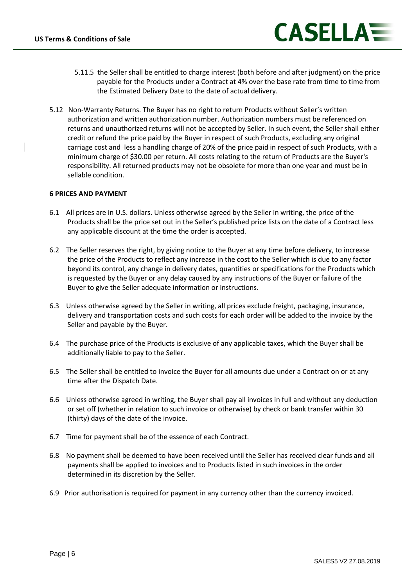

- 5.11.5 the Seller shall be entitled to charge interest (both before and after judgment) on the price payable for the Products under a Contract at 4% over the base rate from time to time from the Estimated Delivery Date to the date of actual delivery.
- 5.12 Non-Warranty Returns. The Buyer has no right to return Products without Seller's written authorization and written authorization number. Authorization numbers must be referenced on returns and unauthorized returns will not be accepted by Seller. In such event, the Seller shall either credit or refund the price paid by the Buyer in respect of such Products, excluding any original carriage cost and less a handling charge of 20% of the price paid in respect of such Products, with a minimum charge of \$30.00 per return. All costs relating to the return of Products are the Buyer's responsibility. All returned products may not be obsolete for more than one year and must be in sellable condition.

#### **6 PRICES AND PAYMENT**

- 6.1 All prices are in U.S. dollars. Unless otherwise agreed by the Seller in writing, the price of the Products shall be the price set out in the Seller's published price lists on the date of a Contract less any applicable discount at the time the order is accepted.
- 6.2 The Seller reserves the right, by giving notice to the Buyer at any time before delivery, to increase the price of the Products to reflect any increase in the cost to the Seller which is due to any factor beyond its control, any change in delivery dates, quantities or specifications for the Products which is requested by the Buyer or any delay caused by any instructions of the Buyer or failure of the Buyer to give the Seller adequate information or instructions.
- 6.3 Unless otherwise agreed by the Seller in writing, all prices exclude freight, packaging, insurance, delivery and transportation costs and such costs for each order will be added to the invoice by the Seller and payable by the Buyer.
- 6.4 The purchase price of the Products is exclusive of any applicable taxes, which the Buyer shall be additionally liable to pay to the Seller.
- 6.5 The Seller shall be entitled to invoice the Buyer for all amounts due under a Contract on or at any time after the Dispatch Date.
- 6.6 Unless otherwise agreed in writing, the Buyer shall pay all invoices in full and without any deduction or set off (whether in relation to such invoice or otherwise) by check or bank transfer within 30 (thirty) days of the date of the invoice.
- 6.7 Time for payment shall be of the essence of each Contract.
- 6.8 No payment shall be deemed to have been received until the Seller has received clear funds and all payments shall be applied to invoices and to Products listed in such invoices in the order determined in its discretion by the Seller.
- 6.9 Prior authorisation is required for payment in any currency other than the currency invoiced.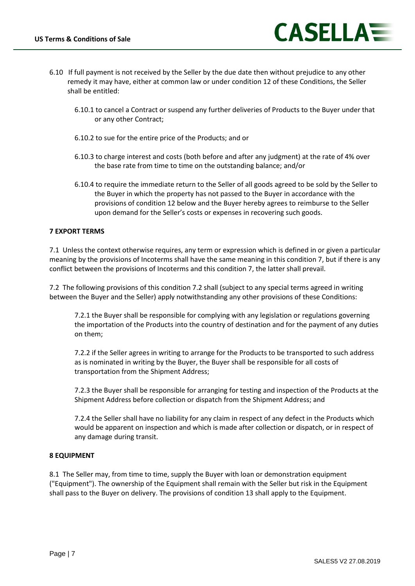

- 6.10 If full payment is not received by the Seller by the due date then without prejudice to any other remedy it may have, either at common law or under condition 12 of these Conditions, the Seller shall be entitled:
	- 6.10.1 to cancel a Contract or suspend any further deliveries of Products to the Buyer under that or any other Contract;
	- 6.10.2 to sue for the entire price of the Products; and or
	- 6.10.3 to charge interest and costs (both before and after any judgment) at the rate of 4% over the base rate from time to time on the outstanding balance; and/or
	- 6.10.4 to require the immediate return to the Seller of all goods agreed to be sold by the Seller to the Buyer in which the property has not passed to the Buyer in accordance with the provisions of condition 12 below and the Buyer hereby agrees to reimburse to the Seller upon demand for the Seller's costs or expenses in recovering such goods.

## **7 EXPORT TERMS**

7.1 Unless the context otherwise requires, any term or expression which is defined in or given a particular meaning by the provisions of Incoterms shall have the same meaning in this condition 7, but if there is any conflict between the provisions of Incoterms and this condition 7, the latter shall prevail.

7.2 The following provisions of this condition 7.2 shall (subject to any special terms agreed in writing between the Buyer and the Seller) apply notwithstanding any other provisions of these Conditions:

7.2.1 the Buyer shall be responsible for complying with any legislation or regulations governing the importation of the Products into the country of destination and for the payment of any duties on them;

7.2.2 if the Seller agrees in writing to arrange for the Products to be transported to such address as is nominated in writing by the Buyer, the Buyer shall be responsible for all costs of transportation from the Shipment Address;

7.2.3 the Buyer shall be responsible for arranging for testing and inspection of the Products at the Shipment Address before collection or dispatch from the Shipment Address; and

7.2.4 the Seller shall have no liability for any claim in respect of any defect in the Products which would be apparent on inspection and which is made after collection or dispatch, or in respect of any damage during transit.

## **8 EQUIPMENT**

8.1 The Seller may, from time to time, supply the Buyer with loan or demonstration equipment ("Equipment"). The ownership of the Equipment shall remain with the Seller but risk in the Equipment shall pass to the Buyer on delivery. The provisions of condition 13 shall apply to the Equipment.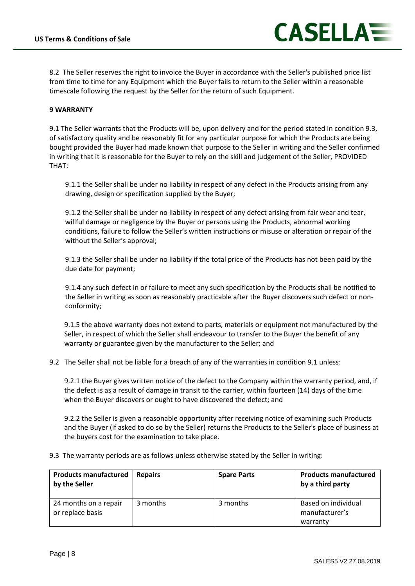

8.2 The Seller reserves the right to invoice the Buyer in accordance with the Seller's published price list from time to time for any Equipment which the Buyer fails to return to the Seller within a reasonable timescale following the request by the Seller for the return of such Equipment.

#### **9 WARRANTY**

9.1 The Seller warrants that the Products will be, upon delivery and for the period stated in condition 9.3, of satisfactory quality and be reasonably fit for any particular purpose for which the Products are being bought provided the Buyer had made known that purpose to the Seller in writing and the Seller confirmed in writing that it is reasonable for the Buyer to rely on the skill and judgement of the Seller, PROVIDED THAT:

9.1.1 the Seller shall be under no liability in respect of any defect in the Products arising from any drawing, design or specification supplied by the Buyer;

9.1.2 the Seller shall be under no liability in respect of any defect arising from fair wear and tear, willful damage or negligence by the Buyer or persons using the Products, abnormal working conditions, failure to follow the Seller's written instructions or misuse or alteration or repair of the without the Seller's approval;

9.1.3 the Seller shall be under no liability if the total price of the Products has not been paid by the due date for payment;

9.1.4 any such defect in or failure to meet any such specification by the Products shall be notified to the Seller in writing as soon as reasonably practicable after the Buyer discovers such defect or nonconformity;

9.1.5 the above warranty does not extend to parts, materials or equipment not manufactured by the Seller, in respect of which the Seller shall endeavour to transfer to the Buyer the benefit of any warranty or guarantee given by the manufacturer to the Seller; and

9.2 The Seller shall not be liable for a breach of any of the warranties in condition 9.1 unless:

9.2.1 the Buyer gives written notice of the defect to the Company within the warranty period, and, if the defect is as a result of damage in transit to the carrier, within fourteen (14) days of the time when the Buyer discovers or ought to have discovered the defect; and

9.2.2 the Seller is given a reasonable opportunity after receiving notice of examining such Products and the Buyer (if asked to do so by the Seller) returns the Products to the Seller's place of business at the buyers cost for the examination to take place.

9.3 The warranty periods are as follows unless otherwise stated by the Seller in writing:

| <b>Products manufactured</b><br>by the Seller | <b>Repairs</b> | <b>Spare Parts</b> | <b>Products manufactured</b><br>by a third party  |
|-----------------------------------------------|----------------|--------------------|---------------------------------------------------|
| 24 months on a repair<br>or replace basis     | 3 months       | 3 months           | Based on individual<br>manufacturer's<br>warranty |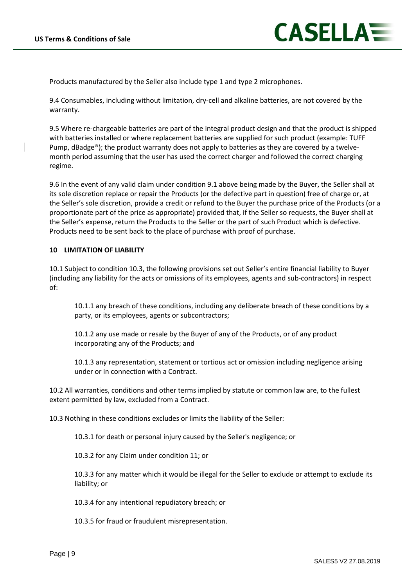

Products manufactured by the Seller also include type 1 and type 2 microphones.

9.4 Consumables, including without limitation, dry-cell and alkaline batteries, are not covered by the warranty.

9.5 Where re-chargeable batteries are part of the integral product design and that the product is shipped with batteries installed or where replacement batteries are supplied for such product (example: TUFF Pump, dBadge®); the product warranty does not apply to batteries as they are covered by a twelvemonth period assuming that the user has used the correct charger and followed the correct charging regime.

9.6 In the event of any valid claim under condition 9.1 above being made by the Buyer, the Seller shall at its sole discretion replace or repair the Products (or the defective part in question) free of charge or, at the Seller's sole discretion, provide a credit or refund to the Buyer the purchase price of the Products (or a proportionate part of the price as appropriate) provided that, if the Seller so requests, the Buyer shall at the Seller's expense, return the Products to the Seller or the part of such Product which is defective. Products need to be sent back to the place of purchase with proof of purchase.

## **10 LIMITATION OF LIABILITY**

10.1 Subject to condition 10.3, the following provisions set out Seller's entire financial liability to Buyer (including any liability for the acts or omissions of its employees, agents and sub-contractors) in respect of:

10.1.1 any breach of these conditions, including any deliberate breach of these conditions by a party, or its employees, agents or subcontractors;

10.1.2 any use made or resale by the Buyer of any of the Products, or of any product incorporating any of the Products; and

10.1.3 any representation, statement or tortious act or omission including negligence arising under or in connection with a Contract.

10.2 All warranties, conditions and other terms implied by statute or common law are, to the fullest extent permitted by law, excluded from a Contract.

10.3 Nothing in these conditions excludes or limits the liability of the Seller:

10.3.1 for death or personal injury caused by the Seller's negligence; or

10.3.2 for any Claim under condition 11; or

10.3.3 for any matter which it would be illegal for the Seller to exclude or attempt to exclude its liability; or

10.3.4 for any intentional repudiatory breach; or

10.3.5 for fraud or fraudulent misrepresentation.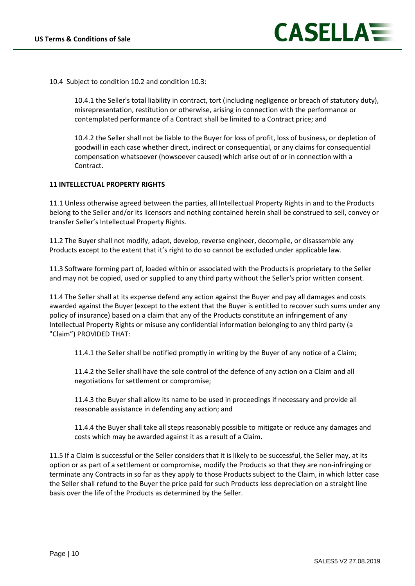10.4 Subject to condition 10.2 and condition 10.3:

10.4.1 the Seller's total liability in contract, tort (including negligence or breach of statutory duty), misrepresentation, restitution or otherwise, arising in connection with the performance or contemplated performance of a Contract shall be limited to a Contract price; and

10.4.2 the Seller shall not be liable to the Buyer for loss of profit, loss of business, or depletion of goodwill in each case whether direct, indirect or consequential, or any claims for consequential compensation whatsoever (howsoever caused) which arise out of or in connection with a Contract.

## **11 INTELLECTUAL PROPERTY RIGHTS**

11.1 Unless otherwise agreed between the parties, all Intellectual Property Rights in and to the Products belong to the Seller and/or its licensors and nothing contained herein shall be construed to sell, convey or transfer Seller's Intellectual Property Rights.

11.2 The Buyer shall not modify, adapt, develop, reverse engineer, decompile, or disassemble any Products except to the extent that it's right to do so cannot be excluded under applicable law.

11.3 Software forming part of, loaded within or associated with the Products is proprietary to the Seller and may not be copied, used or supplied to any third party without the Seller's prior written consent.

11.4 The Seller shall at its expense defend any action against the Buyer and pay all damages and costs awarded against the Buyer (except to the extent that the Buyer is entitled to recover such sums under any policy of insurance) based on a claim that any of the Products constitute an infringement of any Intellectual Property Rights or misuse any confidential information belonging to any third party (a "Claim") PROVIDED THAT:

11.4.1 the Seller shall be notified promptly in writing by the Buyer of any notice of a Claim;

11.4.2 the Seller shall have the sole control of the defence of any action on a Claim and all negotiations for settlement or compromise;

11.4.3 the Buyer shall allow its name to be used in proceedings if necessary and provide all reasonable assistance in defending any action; and

11.4.4 the Buyer shall take all steps reasonably possible to mitigate or reduce any damages and costs which may be awarded against it as a result of a Claim.

11.5 If a Claim is successful or the Seller considers that it is likely to be successful, the Seller may, at its option or as part of a settlement or compromise, modify the Products so that they are non-infringing or terminate any Contracts in so far as they apply to those Products subject to the Claim, in which latter case the Seller shall refund to the Buyer the price paid for such Products less depreciation on a straight line basis over the life of the Products as determined by the Seller.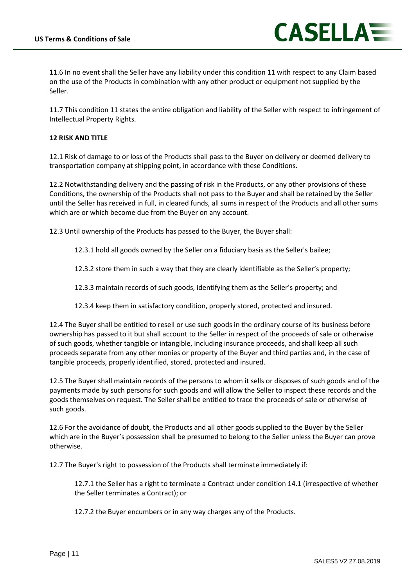

11.6 In no event shall the Seller have any liability under this condition 11 with respect to any Claim based on the use of the Products in combination with any other product or equipment not supplied by the Seller.

11.7 This condition 11 states the entire obligation and liability of the Seller with respect to infringement of Intellectual Property Rights.

## **12 RISK AND TITLE**

12.1 Risk of damage to or loss of the Products shall pass to the Buyer on delivery or deemed delivery to transportation company at shipping point, in accordance with these Conditions.

12.2 Notwithstanding delivery and the passing of risk in the Products, or any other provisions of these Conditions, the ownership of the Products shall not pass to the Buyer and shall be retained by the Seller until the Seller has received in full, in cleared funds, all sums in respect of the Products and all other sums which are or which become due from the Buyer on any account.

12.3 Until ownership of the Products has passed to the Buyer, the Buyer shall:

- 12.3.1 hold all goods owned by the Seller on a fiduciary basis as the Seller's bailee;
- 12.3.2 store them in such a way that they are clearly identifiable as the Seller's property;
- 12.3.3 maintain records of such goods, identifying them as the Seller's property; and
- 12.3.4 keep them in satisfactory condition, properly stored, protected and insured.

12.4 The Buyer shall be entitled to resell or use such goods in the ordinary course of its business before ownership has passed to it but shall account to the Seller in respect of the proceeds of sale or otherwise of such goods, whether tangible or intangible, including insurance proceeds, and shall keep all such proceeds separate from any other monies or property of the Buyer and third parties and, in the case of tangible proceeds, properly identified, stored, protected and insured.

12.5 The Buyer shall maintain records of the persons to whom it sells or disposes of such goods and of the payments made by such persons for such goods and will allow the Seller to inspect these records and the goods themselves on request. The Seller shall be entitled to trace the proceeds of sale or otherwise of such goods.

12.6 For the avoidance of doubt, the Products and all other goods supplied to the Buyer by the Seller which are in the Buyer's possession shall be presumed to belong to the Seller unless the Buyer can prove otherwise.

12.7 The Buyer's right to possession of the Products shall terminate immediately if:

12.7.1 the Seller has a right to terminate a Contract under condition 14.1 (irrespective of whether the Seller terminates a Contract); or

12.7.2 the Buyer encumbers or in any way charges any of the Products.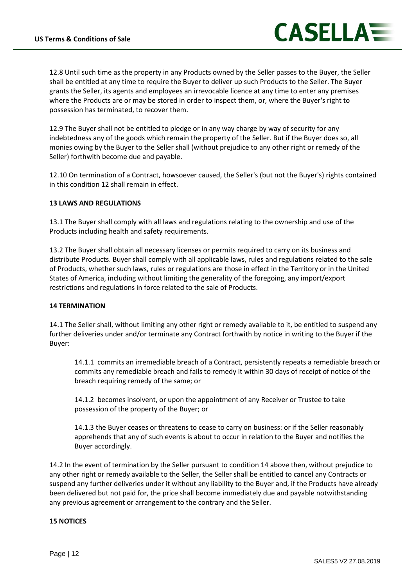

12.8 Until such time as the property in any Products owned by the Seller passes to the Buyer, the Seller shall be entitled at any time to require the Buyer to deliver up such Products to the Seller. The Buyer grants the Seller, its agents and employees an irrevocable licence at any time to enter any premises where the Products are or may be stored in order to inspect them, or, where the Buyer's right to possession has terminated, to recover them.

12.9 The Buyer shall not be entitled to pledge or in any way charge by way of security for any indebtedness any of the goods which remain the property of the Seller. But if the Buyer does so, all monies owing by the Buyer to the Seller shall (without prejudice to any other right or remedy of the Seller) forthwith become due and payable.

12.10 On termination of a Contract, howsoever caused, the Seller's (but not the Buyer's) rights contained in this condition 12 shall remain in effect.

## **13 LAWS AND REGULATIONS**

13.1 The Buyer shall comply with all laws and regulations relating to the ownership and use of the Products including health and safety requirements.

13.2 The Buyer shall obtain all necessary licenses or permits required to carry on its business and distribute Products. Buyer shall comply with all applicable laws, rules and regulations related to the sale of Products, whether such laws, rules or regulations are those in effect in the Territory or in the United States of America, including without limiting the generality of the foregoing, any import/export restrictions and regulations in force related to the sale of Products.

## **14 TERMINATION**

14.1 The Seller shall, without limiting any other right or remedy available to it, be entitled to suspend any further deliveries under and/or terminate any Contract forthwith by notice in writing to the Buyer if the Buyer:

14.1.1 commits an irremediable breach of a Contract, persistently repeats a remediable breach or commits any remediable breach and fails to remedy it within 30 days of receipt of notice of the breach requiring remedy of the same; or

14.1.2 becomes insolvent, or upon the appointment of any Receiver or Trustee to take possession of the property of the Buyer; or

14.1.3 the Buyer ceases or threatens to cease to carry on business: or if the Seller reasonably apprehends that any of such events is about to occur in relation to the Buyer and notifies the Buyer accordingly.

14.2 In the event of termination by the Seller pursuant to condition 14 above then, without prejudice to any other right or remedy available to the Seller, the Seller shall be entitled to cancel any Contracts or suspend any further deliveries under it without any liability to the Buyer and, if the Products have already been delivered but not paid for, the price shall become immediately due and payable notwithstanding any previous agreement or arrangement to the contrary and the Seller.

## **15 NOTICES**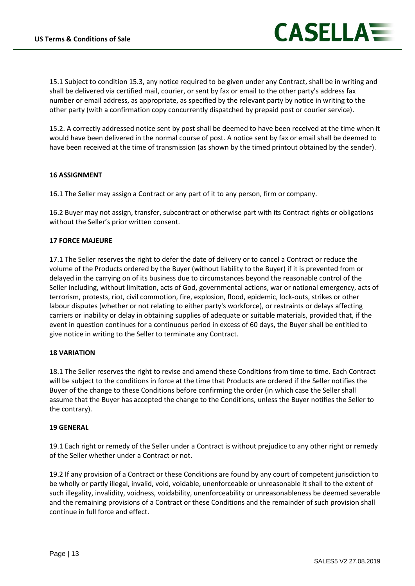

15.1 Subject to condition 15.3, any notice required to be given under any Contract, shall be in writing and shall be delivered via certified mail, courier, or sent by fax or email to the other party's address fax number or email address, as appropriate, as specified by the relevant party by notice in writing to the other party (with a confirmation copy concurrently dispatched by prepaid post or courier service).

15.2. A correctly addressed notice sent by post shall be deemed to have been received at the time when it would have been delivered in the normal course of post. A notice sent by fax or email shall be deemed to have been received at the time of transmission (as shown by the timed printout obtained by the sender).

#### **16 ASSIGNMENT**

16.1 The Seller may assign a Contract or any part of it to any person, firm or company.

16.2 Buyer may not assign, transfer, subcontract or otherwise part with its Contract rights or obligations without the Seller's prior written consent.

#### **17 FORCE MAJEURE**

17.1 The Seller reserves the right to defer the date of delivery or to cancel a Contract or reduce the volume of the Products ordered by the Buyer (without liability to the Buyer) if it is prevented from or delayed in the carrying on of its business due to circumstances beyond the reasonable control of the Seller including, without limitation, acts of God, governmental actions, war or national emergency, acts of terrorism, protests, riot, civil commotion, fire, explosion, flood, epidemic, lock-outs, strikes or other labour disputes (whether or not relating to either party's workforce), or restraints or delays affecting carriers or inability or delay in obtaining supplies of adequate or suitable materials, provided that, if the event in question continues for a continuous period in excess of 60 days, the Buyer shall be entitled to give notice in writing to the Seller to terminate any Contract.

#### **18 VARIATION**

18.1 The Seller reserves the right to revise and amend these Conditions from time to time. Each Contract will be subject to the conditions in force at the time that Products are ordered if the Seller notifies the Buyer of the change to these Conditions before confirming the order (in which case the Seller shall assume that the Buyer has accepted the change to the Conditions, unless the Buyer notifies the Seller to the contrary).

#### **19 GENERAL**

19.1 Each right or remedy of the Seller under a Contract is without prejudice to any other right or remedy of the Seller whether under a Contract or not.

19.2 If any provision of a Contract or these Conditions are found by any court of competent jurisdiction to be wholly or partly illegal, invalid, void, voidable, unenforceable or unreasonable it shall to the extent of such illegality, invalidity, voidness, voidability, unenforceability or unreasonableness be deemed severable and the remaining provisions of a Contract or these Conditions and the remainder of such provision shall continue in full force and effect.